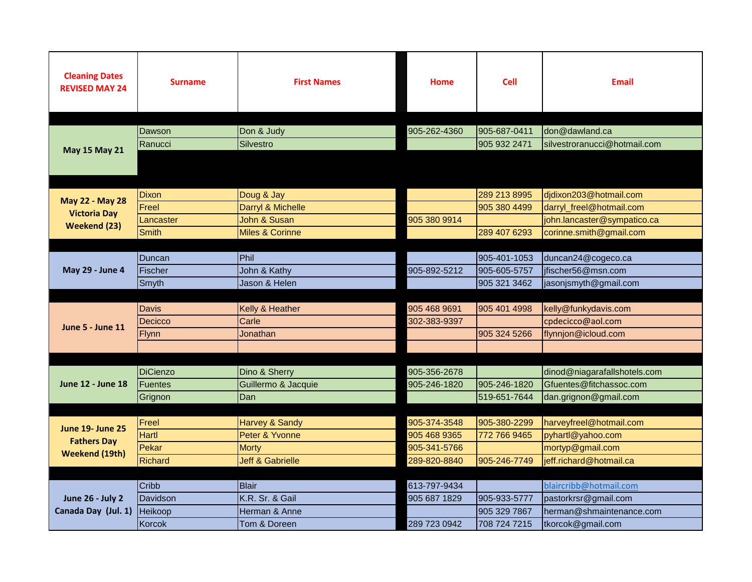| <b>Cleaning Dates</b><br><b>REVISED MAY 24</b> | <b>Surname</b>  | <b>First Names</b>          | <b>Home</b>  | <b>Cell</b>  | <b>Email</b>                                            |
|------------------------------------------------|-----------------|-----------------------------|--------------|--------------|---------------------------------------------------------|
|                                                |                 |                             |              |              |                                                         |
|                                                | Dawson          | Don & Judy                  | 905-262-4360 | 905-687-0411 | don@dawland.ca                                          |
|                                                | Ranucci         | <b>Silvestro</b>            |              | 905 932 2471 | silvestroranucci@hotmail.com                            |
| <b>May 15 May 21</b>                           |                 |                             |              |              |                                                         |
|                                                | Dixon           | Doug & Jay                  |              | 289 213 8995 | didixon203@hotmail.com                                  |
| May 22 - May 28                                | Freel           | Darryl & Michelle           |              | 905 380 4499 | darryl_freel@hotmail.com                                |
| <b>Victoria Day</b>                            | Lancaster       | John & Susan                | 905 380 9914 |              | john.lancaster@sympatico.ca                             |
| Weekend (23)                                   | Smith           | <b>Miles &amp; Corinne</b>  |              | 289 407 6293 | corinne.smith@gmail.com                                 |
|                                                |                 |                             |              |              |                                                         |
| May 29 - June 4                                | Duncan          | Phil                        |              | 905-401-1053 | duncan24@cogeco.ca                                      |
|                                                | Fischer         | John & Kathy                | 905-892-5212 | 905-605-5757 | ifischer56@msn.com                                      |
|                                                | Smyth           | Jason & Helen               |              | 905 321 3462 | jasonjsmyth@gmail.com                                   |
|                                                |                 |                             |              |              |                                                         |
|                                                | <b>Davis</b>    | Kelly & Heather             | 905 468 9691 | 905 401 4998 | kelly@funkydavis.com                                    |
| <b>June 5 - June 11</b>                        | Decicco         | Carle                       | 302-383-9397 |              | cpdecicco@aol.com                                       |
|                                                | <b>Flynn</b>    | Jonathan                    |              | 905 324 5266 | flynnjon@icloud.com                                     |
|                                                |                 |                             |              |              |                                                         |
|                                                |                 |                             |              |              |                                                         |
|                                                | <b>DiCienzo</b> | Dino & Sherry               | 905-356-2678 |              | dinod@niagarafallshotels.com<br>Gfuentes@fitchassoc.com |
| <b>June 12 - June 18</b>                       | <b>Fuentes</b>  | Guillermo & Jacquie         | 905-246-1820 | 905-246-1820 |                                                         |
|                                                | Grignon         | Dan                         |              | 519-651-7644 | dan.grignon@gmail.com                                   |
|                                                | Freel           | Harvey & Sandy              | 905-374-3548 | 905-380-2299 | harveyfreel@hotmail.com                                 |
| <b>June 19- June 25</b>                        | Hartl           | Peter & Yvonne              | 905 468 9365 | 772 766 9465 | pyhartl@yahoo.com                                       |
| <b>Fathers Day</b><br><b>Weekend (19th)</b>    | Pekar           | <b>Morty</b>                | 905-341-5766 |              | mortyp@gmail.com                                        |
|                                                | <b>Richard</b>  | <b>Jeff &amp; Gabrielle</b> | 289-820-8840 | 905-246-7749 | jeff.richard@hotmail.ca                                 |
|                                                |                 |                             |              |              |                                                         |
| <b>June 26 - July 2</b><br>Canada Day (Jul. 1) | Cribb           | <b>Blair</b>                | 613-797-9434 |              | blaircribb@hotmail.com                                  |
|                                                | Davidson        | K.R. Sr. & Gail             | 905 687 1829 | 905-933-5777 | pastorkrsr@gmail.com                                    |
|                                                | Heikoop         | Herman & Anne               |              | 905 329 7867 | herman@shmaintenance.com                                |
|                                                | Korcok          | Tom & Doreen                | 289 723 0942 | 708 724 7215 | tkorcok@gmail.com                                       |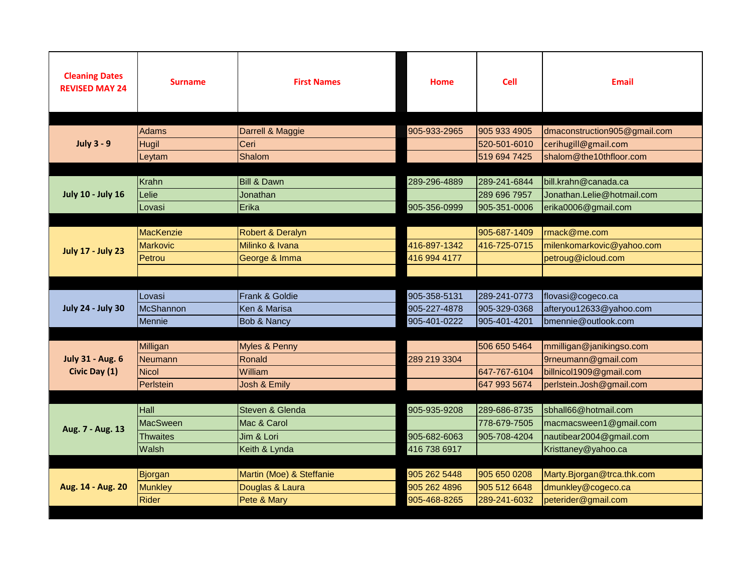| <b>Cleaning Dates</b>    | <b>Surname</b>  | <b>First Names</b>                             | Home         | <b>Cell</b>  | <b>Email</b>                 |
|--------------------------|-----------------|------------------------------------------------|--------------|--------------|------------------------------|
| <b>REVISED MAY 24</b>    |                 |                                                |              |              |                              |
|                          |                 |                                                |              |              |                              |
|                          | <b>Adams</b>    | Darrell & Maggie                               | 905-933-2965 | 905 933 4905 | dmaconstruction905@gmail.com |
| <b>July 3 - 9</b>        | <b>Hugil</b>    | Ceri                                           |              | 520-501-6010 | cerihugill@gmail.com         |
|                          | Leytam          | Shalom                                         |              | 519 694 7425 | shalom@the10thfloor.com      |
|                          |                 |                                                |              |              |                              |
|                          | Krahn           | <b>Bill &amp; Dawn</b>                         | 289-296-4889 | 289-241-6844 | bill.krahn@canada.ca         |
| <b>July 10 - July 16</b> | Lelie           | Jonathan                                       |              | 289 696 7957 | Jonathan.Lelie@hotmail.com   |
|                          | Lovasi          | Erika                                          | 905-356-0999 | 905-351-0006 | erika0006@gmail.com          |
|                          |                 |                                                |              |              |                              |
| <b>July 17 - July 23</b> | MacKenzie       | <b>Robert &amp; Deralyn</b><br>Milinko & Ivana | 416-897-1342 | 905-687-1409 | rmack@me.com                 |
|                          | <b>Markovic</b> |                                                |              | 416-725-0715 | milenkomarkovic@yahoo.com    |
|                          | Petrou          | George & Imma                                  | 416 994 4177 |              | petroug@icloud.com           |
|                          |                 |                                                |              |              |                              |
|                          | Lovasi          | Frank & Goldie                                 | 905-358-5131 | 289-241-0773 | flovasi@cogeco.ca            |
| <b>July 24 - July 30</b> | McShannon       | Ken & Marisa                                   | 905-227-4878 | 905-329-0368 | afteryou12633@yahoo.com      |
|                          | Mennie          | Bob & Nancy                                    | 905-401-0222 | 905-401-4201 | bmennie@outlook.com          |
|                          |                 |                                                |              |              |                              |
|                          | Milligan        | Myles & Penny                                  |              | 506 650 5464 | mmilligan@janikingso.com     |
| <b>July 31 - Aug. 6</b>  | <b>Neumann</b>  | Ronald                                         | 289 219 3304 |              | 9rneumann@gmail.com          |
| Civic Day (1)            | <b>Nicol</b>    | William                                        |              | 647-767-6104 | billnicol1909@gmail.com      |
|                          | Perlstein       | Josh & Emily                                   |              | 647 993 5674 | perlstein.Josh@gmail.com     |
|                          |                 |                                                |              |              |                              |
| Aug. 7 - Aug. 13         | Hall            | Steven & Glenda                                | 905-935-9208 | 289-686-8735 | sbhall66@hotmail.com         |
|                          | <b>MacSween</b> | Mac & Carol                                    |              | 778-679-7505 | macmacsween1@gmail.com       |
|                          | <b>Thwaites</b> | Jim & Lori                                     | 905-682-6063 | 905-708-4204 | nautibear2004@gmail.com      |
|                          | Walsh           | Keith & Lynda                                  | 416 738 6917 |              | Kristtaney@yahoo.ca          |
|                          |                 |                                                |              |              |                              |
| Aug. 14 - Aug. 20        | Bjorgan         | Martin (Moe) & Steffanie                       | 905 262 5448 | 905 650 0208 | Marty.Bjorgan@trca.thk.com   |
|                          | <b>Munkley</b>  | Douglas & Laura                                | 905 262 4896 | 905 512 6648 | dmunkley@cogeco.ca           |
|                          | Rider           | Pete & Mary                                    | 905-468-8265 | 289-241-6032 | peterider@gmail.com          |
|                          |                 |                                                |              |              |                              |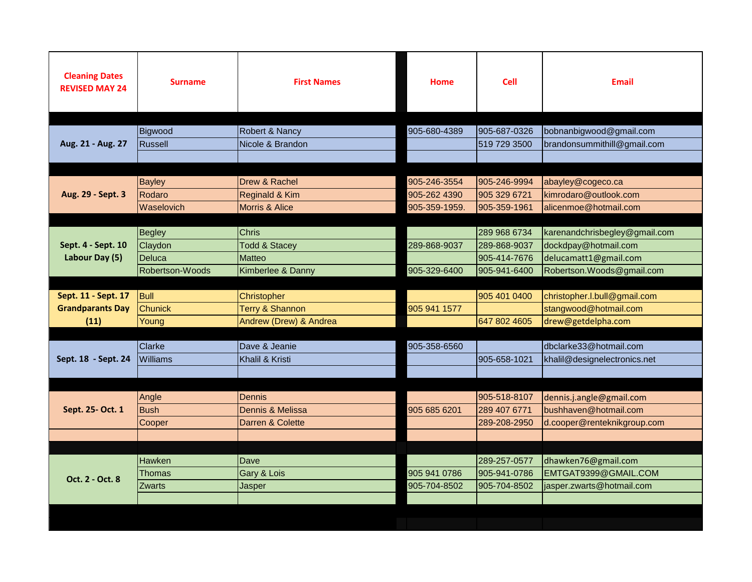| <b>Cleaning Dates</b><br><b>REVISED MAY 24</b> | <b>Surname</b>  | <b>First Names</b>        | <b>Home</b>   | <b>Cell</b>  | <b>Email</b>                  |
|------------------------------------------------|-----------------|---------------------------|---------------|--------------|-------------------------------|
|                                                |                 |                           |               |              |                               |
|                                                | Bigwood         | Robert & Nancy            | 905-680-4389  | 905-687-0326 | bobnanbigwood@gmail.com       |
| Aug. 21 - Aug. 27                              | Russell         | Nicole & Brandon          |               | 519 729 3500 | brandonsummithill@gmail.com   |
|                                                |                 |                           |               |              |                               |
|                                                |                 |                           |               |              |                               |
|                                                | <b>Bayley</b>   | Drew & Rachel             | 905-246-3554  | 905-246-9994 | abayley@cogeco.ca             |
| Aug. 29 - Sept. 3                              | Rodaro          | Reginald & Kim            | 905-262 4390  | 905 329 6721 | kimrodaro@outlook.com         |
|                                                | Waselovich      | <b>Morris &amp; Alice</b> | 905-359-1959. | 905-359-1961 | alicenmoe@hotmail.com         |
|                                                |                 |                           |               |              |                               |
|                                                | <b>Begley</b>   | <b>Chris</b>              |               | 289 968 6734 | karenandchrisbegley@gmail.com |
| Sept. 4 - Sept. 10                             | Claydon         | <b>Todd &amp; Stacey</b>  | 289-868-9037  | 289-868-9037 | dockdpay@hotmail.com          |
| Labour Day (5)                                 | Deluca          | <b>Matteo</b>             |               | 905-414-7676 | delucamatt1@gmail.com         |
|                                                | Robertson-Woods | Kimberlee & Danny         | 905-329-6400  | 905-941-6400 | Robertson.Woods@gmail.com     |
|                                                |                 |                           |               |              |                               |
| Sept. 11 - Sept. 17                            | <b>Bull</b>     | Christopher               |               | 905 401 0400 | christopher.l.bull@gmail.com  |
| <b>Grandparants Day</b>                        | <b>Chunick</b>  | Terry & Shannon           | 905 941 1577  |              | stangwood@hotmail.com         |
| (11)                                           | Young           | Andrew (Drew) & Andrea    |               | 647 802 4605 | drew@getdelpha.com            |
|                                                |                 |                           |               |              |                               |
|                                                | Clarke          | Dave & Jeanie             | 905-358-6560  |              | dbclarke33@hotmail.com        |
| Sept. 18 - Sept. 24                            | Williams        | Khalil & Kristi           |               | 905-658-1021 | khalil@designelectronics.net  |
|                                                |                 |                           |               |              |                               |
|                                                |                 |                           |               |              |                               |
| Sept. 25- Oct. 1                               | Angle           | <b>Dennis</b>             |               | 905-518-8107 | dennis.j.angle@gmail.com      |
|                                                | <b>Bush</b>     | Dennis & Melissa          | 905 685 6201  | 289 407 6771 | bushhaven@hotmail.com         |
|                                                | Cooper          | Darren & Colette          |               | 289-208-2950 | d.cooper@renteknikgroup.com   |
|                                                |                 |                           |               |              |                               |
|                                                |                 |                           |               |              |                               |
|                                                | Hawken          | <b>Dave</b>               |               | 289-257-0577 | dhawken76@gmail.com           |
| Oct. 2 - Oct. 8                                | Thomas          | Gary & Lois               | 905 941 0786  | 905-941-0786 | EMTGAT9399@GMAIL.COM          |
|                                                | Zwarts          | Jasper                    | 905-704-8502  | 905-704-8502 | jasper.zwarts@hotmail.com     |
|                                                |                 |                           |               |              |                               |
|                                                |                 |                           |               |              |                               |
|                                                |                 |                           |               |              |                               |